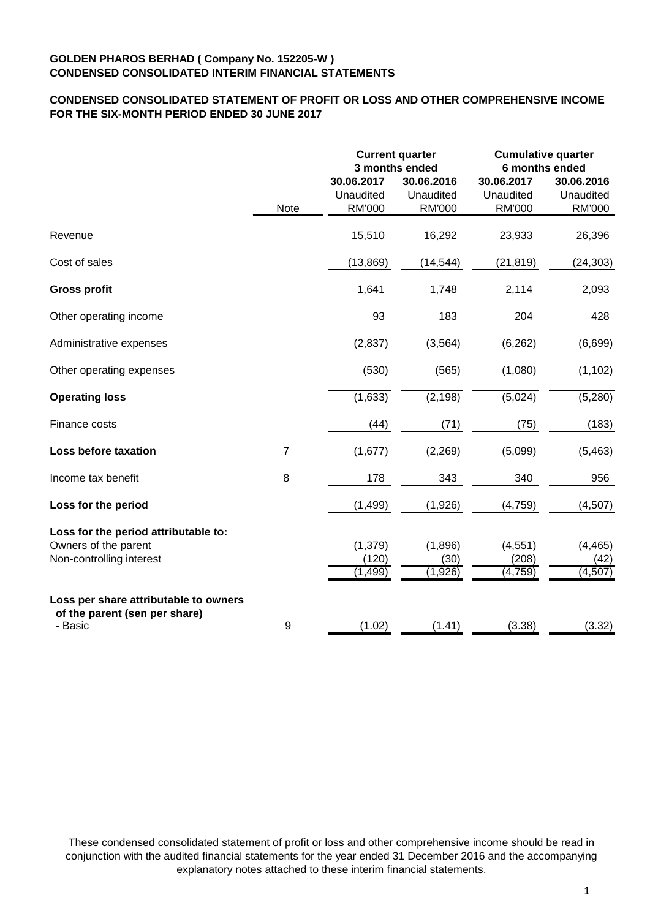# **CONDENSED CONSOLIDATED STATEMENT OF PROFIT OR LOSS AND OTHER COMPREHENSIVE INCOME FOR THE SIX-MONTH PERIOD ENDED 30 JUNE 2017**

|                                                                                          |                | <b>Current quarter</b><br>3 months ended |                                          | <b>Cumulative quarter</b><br>6 months ended |                                          |
|------------------------------------------------------------------------------------------|----------------|------------------------------------------|------------------------------------------|---------------------------------------------|------------------------------------------|
|                                                                                          | Note           | 30.06.2017<br>Unaudited<br><b>RM'000</b> | 30.06.2016<br>Unaudited<br><b>RM'000</b> | 30.06.2017<br>Unaudited<br><b>RM'000</b>    | 30.06.2016<br>Unaudited<br><b>RM'000</b> |
| Revenue                                                                                  |                | 15,510                                   | 16,292                                   | 23,933                                      | 26,396                                   |
| Cost of sales                                                                            |                | (13, 869)                                | (14, 544)                                | (21, 819)                                   | (24, 303)                                |
| <b>Gross profit</b>                                                                      |                | 1,641                                    | 1,748                                    | 2,114                                       | 2,093                                    |
| Other operating income                                                                   |                | 93                                       | 183                                      | 204                                         | 428                                      |
| Administrative expenses                                                                  |                | (2, 837)                                 | (3, 564)                                 | (6, 262)                                    | (6,699)                                  |
| Other operating expenses                                                                 |                | (530)                                    | (565)                                    | (1,080)                                     | (1, 102)                                 |
| <b>Operating loss</b>                                                                    |                | (1,633)                                  | (2, 198)                                 | (5,024)                                     | (5,280)                                  |
| Finance costs                                                                            |                | (44)                                     | (71)                                     | (75)                                        | (183)                                    |
| Loss before taxation                                                                     | $\overline{7}$ | (1,677)                                  | (2,269)                                  | (5,099)                                     | (5,463)                                  |
| Income tax benefit                                                                       | 8              | 178                                      | 343                                      | 340                                         | 956                                      |
| Loss for the period                                                                      |                | (1, 499)                                 | (1,926)                                  | (4, 759)                                    | (4,507)                                  |
| Loss for the period attributable to:<br>Owners of the parent<br>Non-controlling interest |                | (1, 379)<br>(120)<br>(1, 499)            | (1,896)<br>(30)<br>(1,926)               | (4, 551)<br>(208)<br>(4, 759)               | (4, 465)<br>(42)<br>(4, 507)             |
| Loss per share attributable to owners<br>of the parent (sen per share)<br>- Basic        | 9              | (1.02)                                   | (1.41)                                   | (3.38)                                      | (3.32)                                   |

These condensed consolidated statement of profit or loss and other comprehensive income should be read in conjunction with the audited financial statements for the year ended 31 December 2016 and the accompanying explanatory notes attached to these interim financial statements.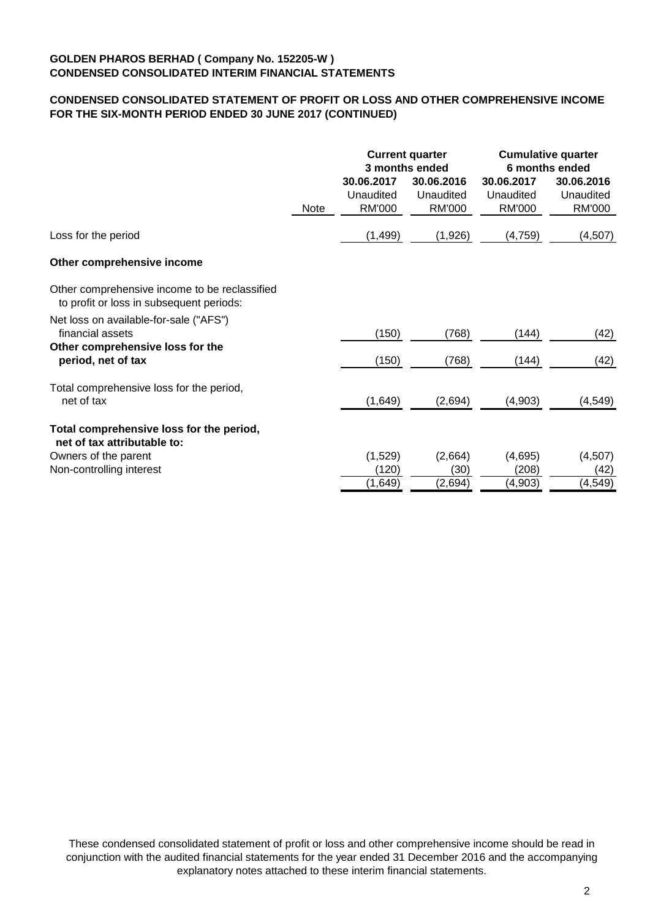# **CONDENSED CONSOLIDATED STATEMENT OF PROFIT OR LOSS AND OTHER COMPREHENSIVE INCOME FOR THE SIX-MONTH PERIOD ENDED 30 JUNE 2017 (CONTINUED)**

|                                                                                           |             |                            | <b>Current quarter</b><br>3 months ended | <b>Cumulative quarter</b><br>6 months ended |                            |  |
|-------------------------------------------------------------------------------------------|-------------|----------------------------|------------------------------------------|---------------------------------------------|----------------------------|--|
|                                                                                           |             | 30.06.2017                 | 30.06.2016                               | 30.06.2017                                  | 30.06.2016                 |  |
|                                                                                           | <b>Note</b> | Unaudited<br><b>RM'000</b> | Unaudited<br>RM'000                      | Unaudited<br>RM'000                         | Unaudited<br><b>RM'000</b> |  |
| Loss for the period                                                                       |             | (1,499)                    | (1,926)                                  | (4,759)                                     | (4,507)                    |  |
| Other comprehensive income                                                                |             |                            |                                          |                                             |                            |  |
| Other comprehensive income to be reclassified<br>to profit or loss in subsequent periods: |             |                            |                                          |                                             |                            |  |
| Net loss on available-for-sale ("AFS")<br>financial assets                                |             | (150)                      | (768)                                    | (144)                                       | (42)                       |  |
| Other comprehensive loss for the<br>period, net of tax                                    |             | (150)                      | (768)                                    | (144)                                       | (42)                       |  |
| Total comprehensive loss for the period,<br>net of tax                                    |             | (1,649)                    | (2,694)                                  | (4,903)                                     | (4, 549)                   |  |
| Total comprehensive loss for the period,<br>net of tax attributable to:                   |             |                            |                                          |                                             |                            |  |
| Owners of the parent                                                                      |             | (1,529)                    | (2,664)                                  | (4,695)                                     | (4,507)                    |  |
| Non-controlling interest                                                                  |             | (120)                      | (30)                                     | (208)                                       | (42)                       |  |
|                                                                                           |             | (1,649)                    | (2,694)                                  | (4,903)                                     | (4, 549)                   |  |

These condensed consolidated statement of profit or loss and other comprehensive income should be read in conjunction with the audited financial statements for the year ended 31 December 2016 and the accompanying explanatory notes attached to these interim financial statements.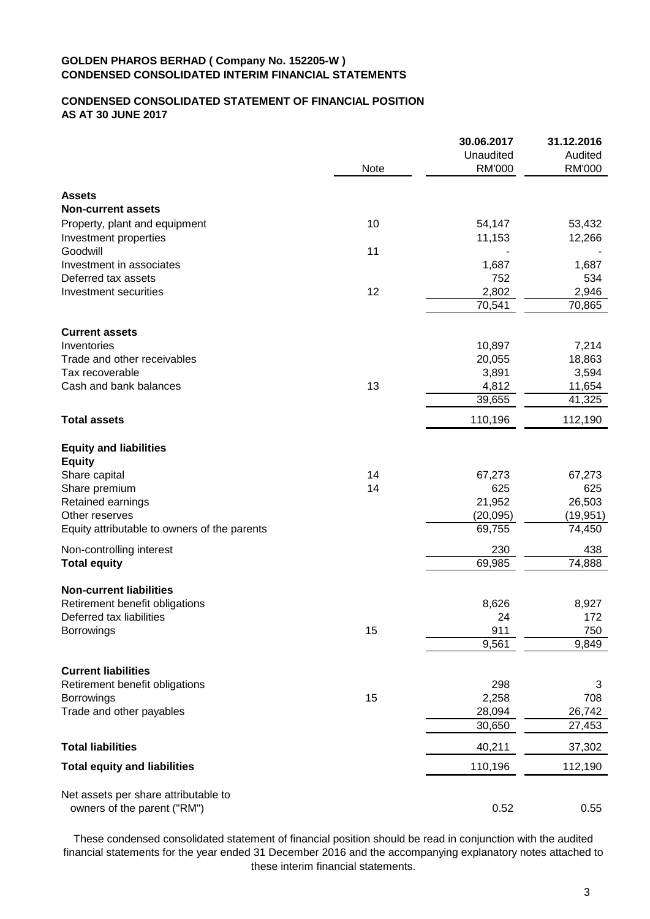# **CONDENSED CONSOLIDATED STATEMENT OF FINANCIAL POSITION AS AT 30 JUNE 2017**

|                                                |      | 30.06.2017    | 31.12.2016 |
|------------------------------------------------|------|---------------|------------|
|                                                |      | Unaudited     | Audited    |
|                                                | Note | <b>RM'000</b> | RM'000     |
| <b>Assets</b>                                  |      |               |            |
| <b>Non-current assets</b>                      |      |               |            |
| Property, plant and equipment                  | 10   | 54,147        | 53,432     |
| Investment properties                          |      | 11,153        | 12,266     |
| Goodwill                                       | 11   |               |            |
| Investment in associates                       |      | 1,687         | 1,687      |
| Deferred tax assets                            |      | 752           | 534        |
| Investment securities                          | 12   | 2,802         | 2,946      |
|                                                |      | 70,541        | 70,865     |
| <b>Current assets</b>                          |      |               |            |
| Inventories                                    |      | 10,897        | 7,214      |
| Trade and other receivables                    |      | 20,055        | 18,863     |
| Tax recoverable                                |      | 3,891         | 3,594      |
| Cash and bank balances                         | 13   | 4,812         | 11,654     |
|                                                |      | 39,655        | 41,325     |
| <b>Total assets</b>                            |      | 110,196       | 112,190    |
|                                                |      |               |            |
| <b>Equity and liabilities</b><br><b>Equity</b> |      |               |            |
| Share capital                                  | 14   | 67,273        | 67,273     |
| Share premium                                  | 14   | 625           | 625        |
| Retained earnings                              |      | 21,952        | 26,503     |
| Other reserves                                 |      | (20, 095)     | (19, 951)  |
| Equity attributable to owners of the parents   |      | 69,755        | 74,450     |
| Non-controlling interest                       |      | 230           | 438        |
| <b>Total equity</b>                            |      | 69,985        | 74,888     |
| <b>Non-current liabilities</b>                 |      |               |            |
| Retirement benefit obligations                 |      | 8,626         | 8,927      |
| Deferred tax liabilities                       |      | 24            | 172        |
| <b>Borrowings</b>                              | 15   | 911           | 750        |
|                                                |      | 9,561         | 9,849      |
| <b>Current liabilities</b>                     |      |               |            |
| Retirement benefit obligations                 |      | 298           | 3          |
| Borrowings                                     | 15   | 2,258         | 708        |
| Trade and other payables                       |      | 28,094        | 26,742     |
|                                                |      | 30,650        | 27,453     |
| <b>Total liabilities</b>                       |      | 40,211        | 37,302     |
| <b>Total equity and liabilities</b>            |      | 110,196       | 112,190    |
|                                                |      |               |            |
| Net assets per share attributable to           |      |               |            |
| owners of the parent ("RM")                    |      | 0.52          | 0.55       |

These condensed consolidated statement of financial position should be read in conjunction with the audited financial statements for the year ended 31 December 2016 and the accompanying explanatory notes attached to these interim financial statements.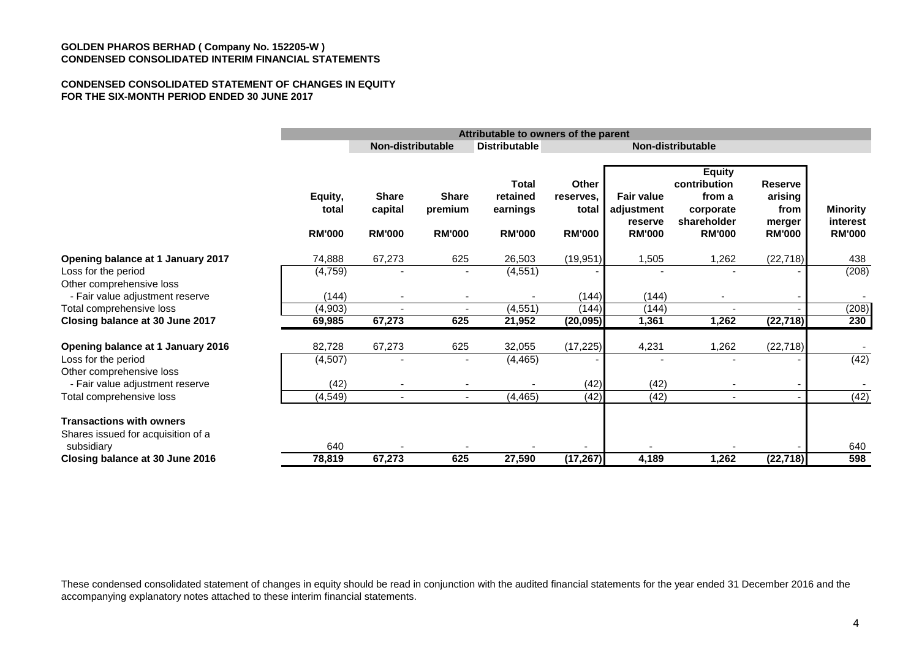#### **CONDENSED CONSOLIDATED STATEMENT OF CHANGES IN EQUITY FOR THE SIX-MONTH PERIOD ENDED 30 JUNE 2017**

|                                                                       |                                   | Attributable to owners of the parent                           |                                          |                                                       |                                              |                                                             |                                                                                      |                                                              |                                              |
|-----------------------------------------------------------------------|-----------------------------------|----------------------------------------------------------------|------------------------------------------|-------------------------------------------------------|----------------------------------------------|-------------------------------------------------------------|--------------------------------------------------------------------------------------|--------------------------------------------------------------|----------------------------------------------|
|                                                                       |                                   | Non-distributable<br><b>Distributable</b><br>Non-distributable |                                          |                                                       |                                              |                                                             |                                                                                      |                                                              |                                              |
|                                                                       | Equity,<br>total<br><b>RM'000</b> | <b>Share</b><br>capital<br><b>RM'000</b>                       | <b>Share</b><br>premium<br><b>RM'000</b> | <b>Total</b><br>retained<br>earnings<br><b>RM'000</b> | Other<br>reserves.<br>total<br><b>RM'000</b> | <b>Fair value</b><br>adjustment<br>reserve<br><b>RM'000</b> | <b>Equity</b><br>contribution<br>from a<br>corporate<br>shareholder<br><b>RM'000</b> | <b>Reserve</b><br>arising<br>from<br>merger<br><b>RM'000</b> | <b>Minority</b><br>interest<br><b>RM'000</b> |
| Opening balance at 1 January 2017                                     | 74,888                            | 67,273                                                         | 625                                      | 26,503                                                | (19, 951)                                    | 1,505                                                       | 1,262                                                                                | (22, 718)                                                    | 438                                          |
| Loss for the period<br>Other comprehensive loss                       | (4, 759)                          |                                                                |                                          | (4, 551)                                              |                                              |                                                             |                                                                                      |                                                              | (208)                                        |
| - Fair value adjustment reserve                                       | (144)                             |                                                                |                                          |                                                       | (144)                                        | (144)                                                       |                                                                                      |                                                              |                                              |
| Total comprehensive loss                                              | (4,903)                           |                                                                |                                          | (4, 551)                                              | (144)                                        | (144)                                                       |                                                                                      |                                                              | (208)                                        |
| Closing balance at 30 June 2017                                       | 69,985                            | 67,273                                                         | 625                                      | 21,952                                                | (20, 095)                                    | 1,361                                                       | 1,262                                                                                | (22, 718)                                                    | 230                                          |
| Opening balance at 1 January 2016                                     | 82,728                            | 67,273                                                         | 625                                      | 32,055                                                | (17, 225)                                    | 4,231                                                       | 1,262                                                                                | (22, 718)                                                    |                                              |
| Loss for the period<br>Other comprehensive loss                       | (4, 507)                          |                                                                |                                          | (4, 465)                                              |                                              |                                                             |                                                                                      |                                                              | (42)                                         |
| - Fair value adjustment reserve                                       | (42)                              |                                                                |                                          |                                                       | (42)                                         | (42)                                                        |                                                                                      |                                                              |                                              |
| Total comprehensive loss                                              | (4, 549)                          | $\blacksquare$                                                 |                                          | (4, 465)                                              | (42)                                         | (42)                                                        | $\blacksquare$                                                                       |                                                              | (42)                                         |
| <b>Transactions with owners</b><br>Shares issued for acquisition of a |                                   |                                                                |                                          |                                                       |                                              |                                                             |                                                                                      |                                                              |                                              |
| subsidiary                                                            | 640                               |                                                                |                                          |                                                       |                                              |                                                             |                                                                                      |                                                              | 640                                          |
| Closing balance at 30 June 2016                                       | 78,819                            | 67,273                                                         | 625                                      | 27,590                                                | (17, 267)                                    | 4,189                                                       | 1,262                                                                                | (22, 718)                                                    | 598                                          |

These condensed consolidated statement of changes in equity should be read in conjunction with the audited financial statements for the year ended 31 December 2016 and the accompanying explanatory notes attached to these interim financial statements.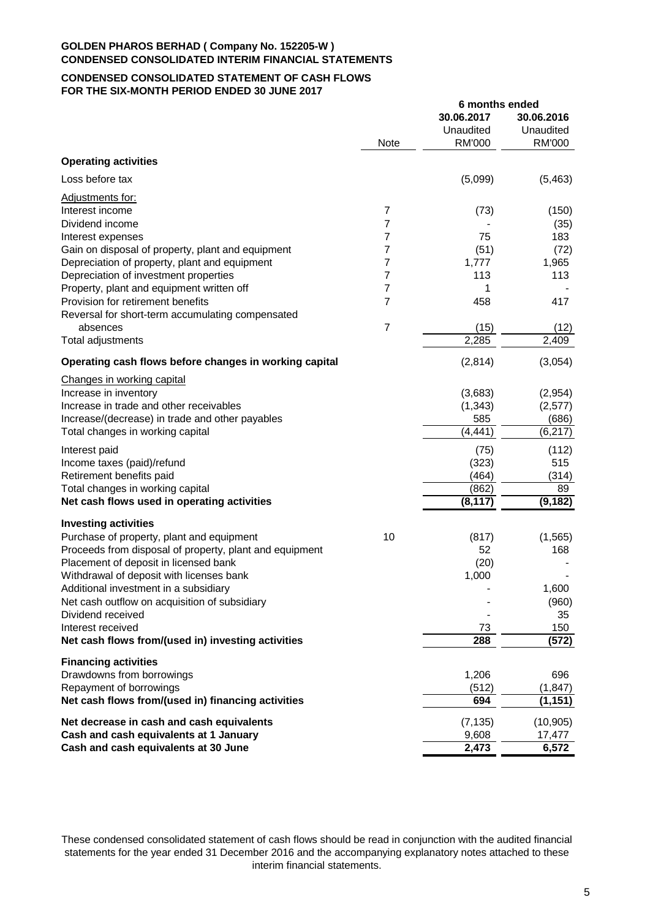## **CONDENSED CONSOLIDATED STATEMENT OF CASH FLOWS FOR THE SIX-MONTH PERIOD ENDED 30 JUNE 2017**

|                                                         |                | 6 months ended |            |
|---------------------------------------------------------|----------------|----------------|------------|
|                                                         |                | 30.06.2017     | 30.06.2016 |
|                                                         |                | Unaudited      | Unaudited  |
|                                                         | <b>Note</b>    | <b>RM'000</b>  | RM'000     |
| <b>Operating activities</b>                             |                |                |            |
| Loss before tax                                         |                | (5,099)        | (5, 463)   |
| Adjustments for:                                        |                |                |            |
| Interest income                                         | 7              | (73)           | (150)      |
| Dividend income                                         | $\overline{7}$ |                | (35)       |
| Interest expenses                                       | 7              | 75             | 183        |
| Gain on disposal of property, plant and equipment       | 7              | (51)           | (72)       |
| Depreciation of property, plant and equipment           | 7              | 1,777          | 1,965      |
| Depreciation of investment properties                   | 7              | 113            | 113        |
| Property, plant and equipment written off               | 7              | 1              |            |
| Provision for retirement benefits                       | 7              | 458            | 417        |
| Reversal for short-term accumulating compensated        |                |                |            |
| absences                                                | $\overline{7}$ | (15)           | (12)       |
| Total adjustments                                       |                | 2,285          | 2,409      |
| Operating cash flows before changes in working capital  |                | (2,814)        | (3,054)    |
| Changes in working capital                              |                |                |            |
| Increase in inventory                                   |                | (3,683)        | (2,954)    |
| Increase in trade and other receivables                 |                | (1, 343)       | (2, 577)   |
| Increase/(decrease) in trade and other payables         |                | 585            | (686)      |
| Total changes in working capital                        |                | (4, 441)       | (6, 217)   |
| Interest paid                                           |                | (75)           | (112)      |
| Income taxes (paid)/refund                              |                | (323)          | 515        |
| Retirement benefits paid                                |                | (464)          | (314)      |
| Total changes in working capital                        |                | (862)          | 89         |
| Net cash flows used in operating activities             |                | (8, 117)       | (9, 182)   |
| <b>Investing activities</b>                             |                |                |            |
| Purchase of property, plant and equipment               | 10             | (817)          | (1, 565)   |
| Proceeds from disposal of property, plant and equipment |                | 52             | 168        |
| Placement of deposit in licensed bank                   |                | (20)           |            |
| Withdrawal of deposit with licenses bank                |                | 1,000          |            |
| Additional investment in a subsidiary                   |                |                | 1,600      |
| Net cash outflow on acquisition of subsidiary           |                |                | (960)      |
| Dividend received                                       |                |                | 35         |
| Interest received                                       |                | 73             | 150        |
| Net cash flows from/(used in) investing activities      |                | 288            | (572)      |
| <b>Financing activities</b>                             |                |                |            |
| Drawdowns from borrowings                               |                | 1,206          | 696        |
| Repayment of borrowings                                 |                | (512)          | (1, 847)   |
| Net cash flows from/(used in) financing activities      |                | 694            | (1, 151)   |
| Net decrease in cash and cash equivalents               |                | (7, 135)       | (10, 905)  |
| Cash and cash equivalents at 1 January                  |                | 9,608          | 17,477     |
| Cash and cash equivalents at 30 June                    |                | 2,473          | 6,572      |

These condensed consolidated statement of cash flows should be read in conjunction with the audited financial statements for the year ended 31 December 2016 and the accompanying explanatory notes attached to these interim financial statements.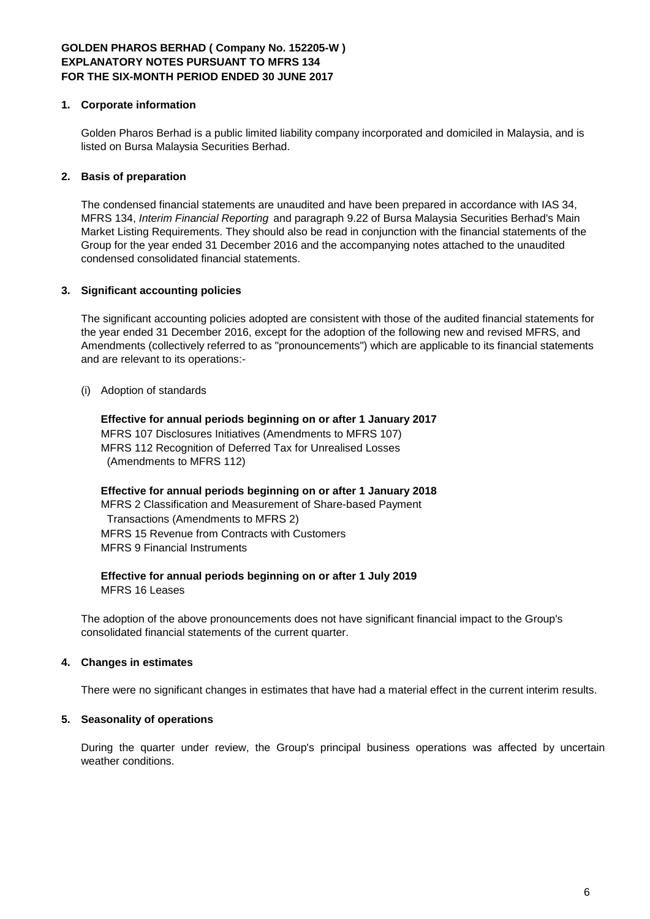## **1. Corporate information**

Golden Pharos Berhad is a public limited liability company incorporated and domiciled in Malaysia, and is listed on Bursa Malaysia Securities Berhad.

## **2. Basis of preparation**

The condensed financial statements are unaudited and have been prepared in accordance with IAS 34, MFRS 134, *Interim Financial Reporting* and paragraph 9.22 of Bursa Malaysia Securities Berhad's Main Market Listing Requirements. They should also be read in conjunction with the financial statements of the Group for the year ended 31 December 2016 and the accompanying notes attached to the unaudited condensed consolidated financial statements.

## **3. Significant accounting policies**

The significant accounting policies adopted are consistent with those of the audited financial statements for the year ended 31 December 2016, except for the adoption of the following new and revised MFRS, and Amendments (collectively referred to as "pronouncements") which are applicable to its financial statements and are relevant to its operations:-

(i) Adoption of standards

**Effective for annual periods beginning on or after 1 January 2017** MFRS 107 Disclosures Initiatives (Amendments to MFRS 107) MFRS 112 Recognition of Deferred Tax for Unrealised Losses (Amendments to MFRS 112)

**Effective for annual periods beginning on or after 1 January 2018** MFRS 2 Classification and Measurement of Share-based Payment Transactions (Amendments to MFRS 2) MFRS 15 Revenue from Contracts with Customers MFRS 9 Financial Instruments

## **Effective for annual periods beginning on or after 1 July 2019** MFRS 16 Leases

The adoption of the above pronouncements does not have significant financial impact to the Group's consolidated financial statements of the current quarter.

## **4. Changes in estimates**

There were no significant changes in estimates that have had a material effect in the current interim results.

## **5. Seasonality of operations**

During the quarter under review, the Group's principal business operations was affected by uncertain weather conditions.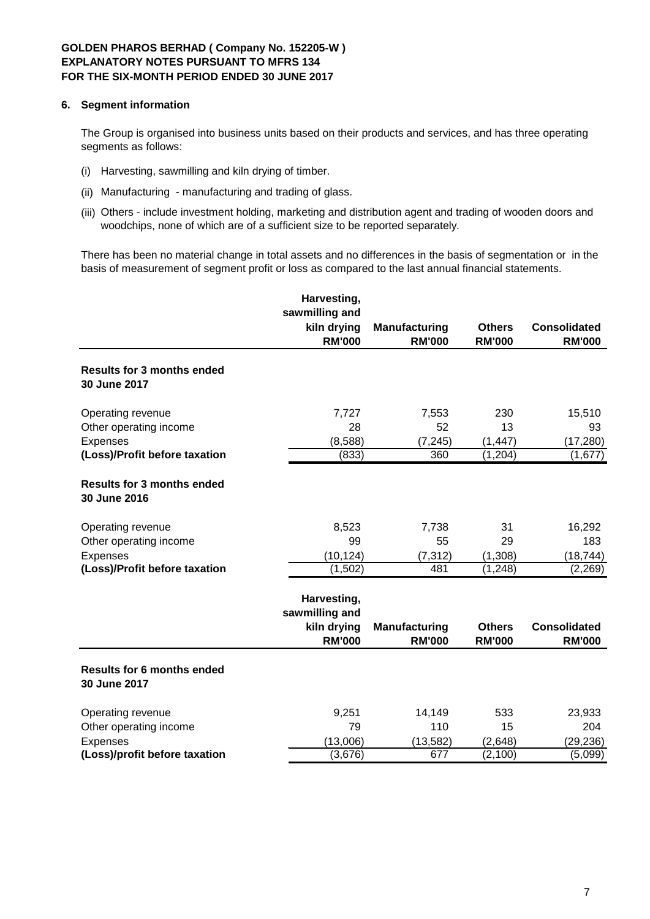## **6. Segment information**

The Group is organised into business units based on their products and services, and has three operating segments as follows:

- (i) Harvesting, sawmilling and kiln drying of timber.
- (ii) Manufacturing manufacturing and trading of glass.
- (iii) Others include investment holding, marketing and distribution agent and trading of wooden doors and woodchips, none of which are of a sufficient size to be reported separately.

There has been no material change in total assets and no differences in the basis of segmentation or in the basis of measurement of segment profit or loss as compared to the last annual financial statements.

|                                                   | Harvesting,                                                   |                                       |                                |                                      |
|---------------------------------------------------|---------------------------------------------------------------|---------------------------------------|--------------------------------|--------------------------------------|
|                                                   | sawmilling and<br>kiln drying                                 | <b>Manufacturing</b>                  | <b>Others</b>                  | <b>Consolidated</b>                  |
|                                                   | <b>RM'000</b>                                                 | <b>RM'000</b>                         | <b>RM'000</b>                  | <b>RM'000</b>                        |
| <b>Results for 3 months ended</b><br>30 June 2017 |                                                               |                                       |                                |                                      |
| Operating revenue                                 | 7,727                                                         | 7,553                                 | 230                            | 15,510                               |
| Other operating income                            | 28                                                            | 52                                    | 13                             | 93                                   |
| Expenses                                          | (8,588)                                                       | (7, 245)                              | (1, 447)                       | (17, 280)                            |
| (Loss)/Profit before taxation                     | (833)                                                         | 360                                   | (1, 204)                       | (1,677)                              |
| <b>Results for 3 months ended</b><br>30 June 2016 |                                                               |                                       |                                |                                      |
| Operating revenue                                 | 8,523                                                         | 7,738                                 | 31                             | 16,292                               |
| Other operating income                            | 99                                                            | 55                                    | 29                             | 183                                  |
| Expenses                                          | (10, 124)                                                     | (7, 312)                              | (1,308)                        | (18, 744)                            |
| (Loss)/Profit before taxation                     | (1,502)                                                       | 481                                   | (1, 248)                       | (2, 269)                             |
|                                                   | Harvesting,<br>sawmilling and<br>kiln drying<br><b>RM'000</b> | <b>Manufacturing</b><br><b>RM'000</b> | <b>Others</b><br><b>RM'000</b> | <b>Consolidated</b><br><b>RM'000</b> |
| <b>Results for 6 months ended</b><br>30 June 2017 |                                                               |                                       |                                |                                      |
| Operating revenue                                 | 9,251                                                         | 14,149                                | 533                            | 23,933                               |
| Other operating income                            | 79                                                            | 110                                   | 15                             | 204                                  |
| <b>Expenses</b>                                   | (13,006)                                                      | (13, 582)                             | (2,648)                        | (29, 236)                            |
| (Loss)/profit before taxation                     | (3,676)                                                       | 677                                   | (2, 100)                       | (5,099)                              |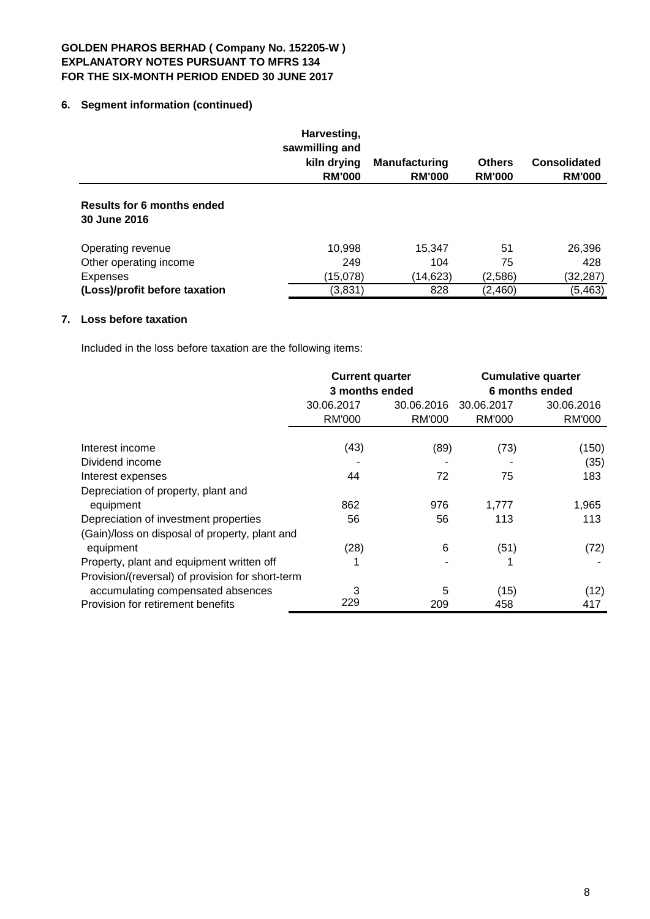# **6. Segment information (continued)**

|                                            | Harvesting,<br>sawmilling and<br>kiln drying<br><b>RM'000</b> | <b>Manufacturing</b><br><b>RM'000</b> | <b>Others</b><br><b>RM'000</b> | <b>Consolidated</b><br><b>RM'000</b> |
|--------------------------------------------|---------------------------------------------------------------|---------------------------------------|--------------------------------|--------------------------------------|
| Results for 6 months ended<br>30 June 2016 |                                                               |                                       |                                |                                      |
| Operating revenue                          | 10,998                                                        | 15,347                                | 51                             | 26,396                               |
| Other operating income                     | 249                                                           | 104                                   | 75                             | 428                                  |
| <b>Expenses</b>                            | (15,078)                                                      | (14, 623)                             | (2,586)                        | (32,287)                             |
| (Loss)/profit before taxation              | (3,831)                                                       | 828                                   | (2,460)                        | (5, 463)                             |

# **7. Loss before taxation**

Included in the loss before taxation are the following items:

|                                                  | <b>Current quarter</b><br>3 months ended |               | <b>Cumulative quarter</b><br>6 months ended |               |
|--------------------------------------------------|------------------------------------------|---------------|---------------------------------------------|---------------|
|                                                  | 30.06.2017<br>30.06.2016                 |               | 30.06.2017                                  | 30.06.2016    |
|                                                  | <b>RM'000</b>                            | <b>RM'000</b> | <b>RM'000</b>                               | <b>RM'000</b> |
|                                                  |                                          |               |                                             |               |
| Interest income                                  | (43)                                     | (89)          | (73)                                        | (150)         |
| Dividend income                                  |                                          |               |                                             | (35)          |
| Interest expenses                                | 44                                       | 72            | 75                                          | 183           |
| Depreciation of property, plant and              |                                          |               |                                             |               |
| equipment                                        | 862                                      | 976           | 1,777                                       | 1,965         |
| Depreciation of investment properties            | 56                                       | 56            | 113                                         | 113           |
| (Gain)/loss on disposal of property, plant and   |                                          |               |                                             |               |
| equipment                                        | (28)                                     | 6             | (51)                                        | (72)          |
| Property, plant and equipment written off        |                                          |               |                                             |               |
| Provision/(reversal) of provision for short-term |                                          |               |                                             |               |
| accumulating compensated absences                | 3                                        | 5             | (15)                                        | (12)          |
| Provision for retirement benefits                | 229                                      | 209           | 458                                         | 417           |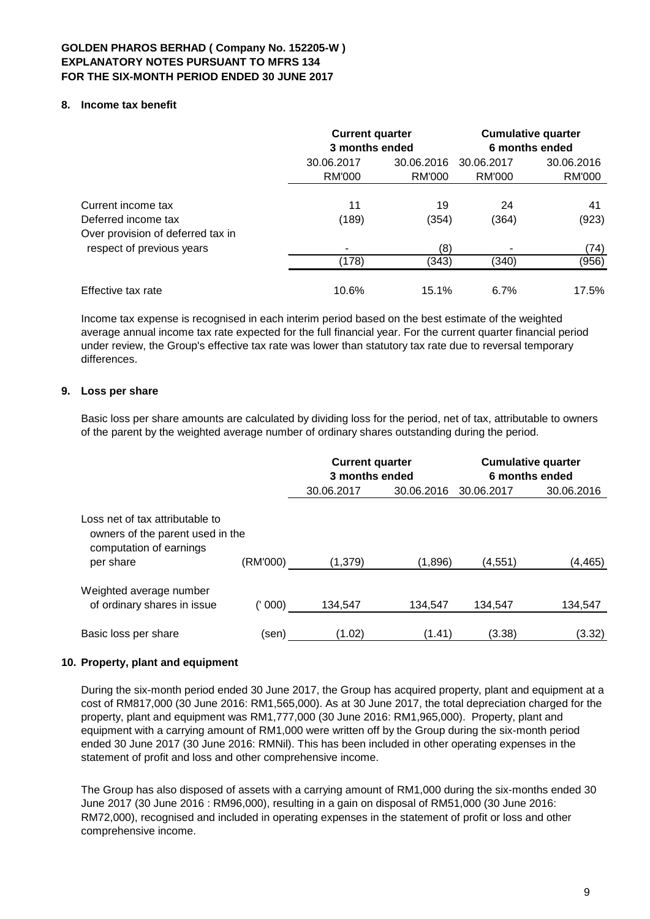## **8. Income tax benefit**

|                                                                | <b>Current quarter</b><br>3 months ended |                      | <b>Cumulative quarter</b><br>6 months ended |                             |  |
|----------------------------------------------------------------|------------------------------------------|----------------------|---------------------------------------------|-----------------------------|--|
|                                                                | 30.06.2017<br><b>RM'000</b>              | 30.06.2016<br>RM'000 | 30.06.2017<br>RM'000                        | 30.06.2016<br><b>RM'000</b> |  |
| Current income tax<br>Deferred income tax                      | 11<br>(189)                              | 19<br>(354)          | 24<br>(364)                                 | 41<br>(923)                 |  |
| Over provision of deferred tax in<br>respect of previous years | (178)                                    | (8)<br>(343)         | (340)                                       | (74)<br>(956)               |  |
| Effective tax rate                                             | 10.6%                                    | 15.1%                | 6.7%                                        | 17.5%                       |  |

Income tax expense is recognised in each interim period based on the best estimate of the weighted average annual income tax rate expected for the full financial year. For the current quarter financial period under review, the Group's effective tax rate was lower than statutory tax rate due to reversal temporary differences.

# **9. Loss per share**

Basic loss per share amounts are calculated by dividing loss for the period, net of tax, attributable to owners of the parent by the weighted average number of ordinary shares outstanding during the period.

|                                                                                                             |          | <b>Current quarter</b><br>3 months ended |            | <b>Cumulative quarter</b><br>6 months ended |            |  |
|-------------------------------------------------------------------------------------------------------------|----------|------------------------------------------|------------|---------------------------------------------|------------|--|
|                                                                                                             |          | 30.06.2017                               | 30.06.2016 | 30.06.2017                                  | 30.06.2016 |  |
| Loss net of tax attributable to<br>owners of the parent used in the<br>computation of earnings<br>per share | (RM'000) | (1,379)                                  | (1,896)    | (4, 551)                                    | (4, 465)   |  |
| Weighted average number<br>of ordinary shares in issue                                                      | (' 000)  | 134,547                                  | 134,547    | 134,547                                     | 134,547    |  |
| Basic loss per share                                                                                        | (sen)    | (1.02)                                   | (1.41)     | (3.38)                                      | (3.32)     |  |

## **10. Property, plant and equipment**

During the six-month period ended 30 June 2017, the Group has acquired property, plant and equipment at a cost of RM817,000 (30 June 2016: RM1,565,000). As at 30 June 2017, the total depreciation charged for the property, plant and equipment was RM1,777,000 (30 June 2016: RM1,965,000). Property, plant and equipment with a carrying amount of RM1,000 were written off by the Group during the six-month period ended 30 June 2017 (30 June 2016: RMNil). This has been included in other operating expenses in the statement of profit and loss and other comprehensive income.

The Group has also disposed of assets with a carrying amount of RM1,000 during the six-months ended 30 June 2017 (30 June 2016 : RM96,000), resulting in a gain on disposal of RM51,000 (30 June 2016: RM72,000), recognised and included in operating expenses in the statement of profit or loss and other comprehensive income.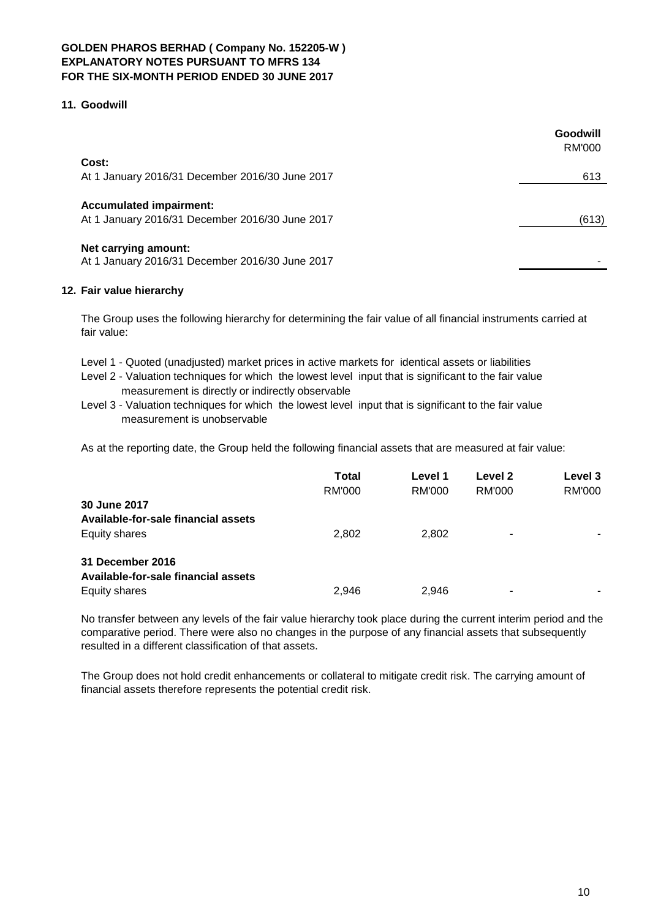## **11. Goodwill**

| Goodwill<br>RM'000 |
|--------------------|
|                    |
| 613                |
|                    |
| (613)              |
|                    |
|                    |

## **12. Fair value hierarchy**

The Group uses the following hierarchy for determining the fair value of all financial instruments carried at fair value:

- Level 1 Quoted (unadjusted) market prices in active markets for identical assets or liabilities
- Level 2 Valuation techniques for which the lowest level input that is significant to the fair value measurement is directly or indirectly observable
- Level 3 Valuation techniques for which the lowest level input that is significant to the fair value measurement is unobservable

As at the reporting date, the Group held the following financial assets that are measured at fair value:

|                                     | <b>Total</b><br>RM'000 | Level 1<br>RM'000 | Level 2<br>RM'000 | Level 3<br><b>RM'000</b> |
|-------------------------------------|------------------------|-------------------|-------------------|--------------------------|
| 30 June 2017                        |                        |                   |                   |                          |
| Available-for-sale financial assets |                        |                   |                   |                          |
| Equity shares                       | 2,802                  | 2,802             |                   |                          |
| 31 December 2016                    |                        |                   |                   |                          |
| Available-for-sale financial assets |                        |                   |                   |                          |
| Equity shares                       | 2,946                  | 2.946             | ۰                 | -                        |

No transfer between any levels of the fair value hierarchy took place during the current interim period and the comparative period. There were also no changes in the purpose of any financial assets that subsequently resulted in a different classification of that assets.

The Group does not hold credit enhancements or collateral to mitigate credit risk. The carrying amount of financial assets therefore represents the potential credit risk.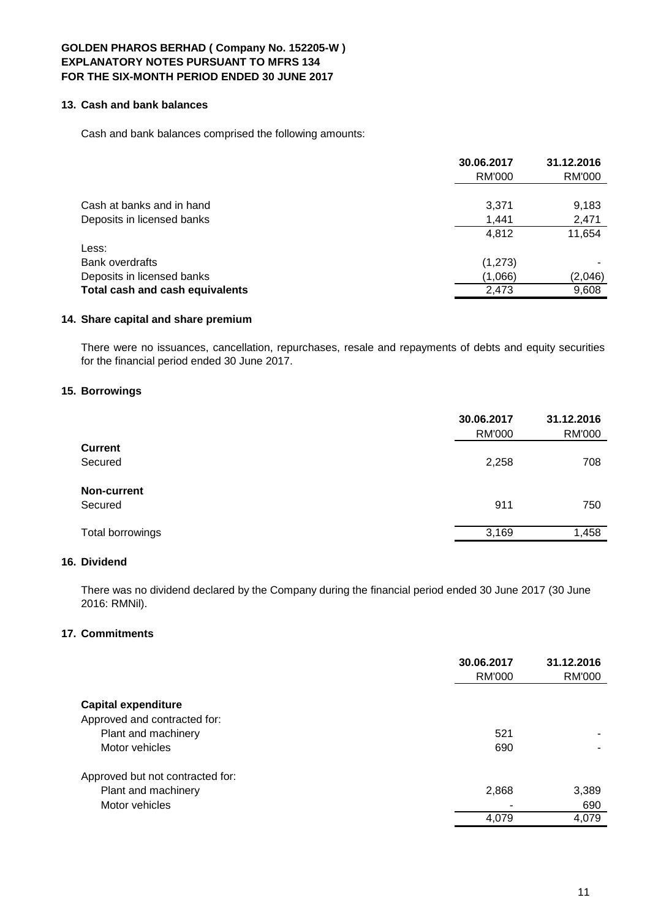# **13. Cash and bank balances**

Cash and bank balances comprised the following amounts:

|                                                         | 30.06.2017<br>RM'000 | 31.12.2016<br>RM'000 |
|---------------------------------------------------------|----------------------|----------------------|
| Cash at banks and in hand<br>Deposits in licensed banks | 3,371<br>1,441       | 9,183<br>2,471       |
|                                                         | 4,812                | 11,654               |
| Less:                                                   |                      |                      |
| Bank overdrafts                                         | (1,273)              |                      |
| Deposits in licensed banks                              | (1,066)              | (2,046)              |
| Total cash and cash equivalents                         | 2.473                | 9,608                |

## **14. Share capital and share premium**

There were no issuances, cancellation, repurchases, resale and repayments of debts and equity securities for the financial period ended 30 June 2017.

# **15. Borrowings**

|                  | 30.06.2017<br><b>RM'000</b> | 31.12.2016<br><b>RM'000</b> |
|------------------|-----------------------------|-----------------------------|
| <b>Current</b>   |                             |                             |
| Secured          | 2,258                       | 708                         |
| Non-current      |                             |                             |
| Secured          | 911                         | 750                         |
| Total borrowings | 3,169                       | 1,458                       |
|                  |                             |                             |

# **16. Dividend**

There was no dividend declared by the Company during the financial period ended 30 June 2017 (30 June 2016: RMNil).

# **17. Commitments**

|                                                         | 30.06.2017<br>RM'000 | 31.12.2016<br><b>RM'000</b> |
|---------------------------------------------------------|----------------------|-----------------------------|
| <b>Capital expenditure</b>                              |                      |                             |
| Approved and contracted for:<br>Plant and machinery     | 521                  |                             |
| Motor vehicles                                          | 690                  |                             |
| Approved but not contracted for:<br>Plant and machinery | 2,868                | 3,389                       |
| Motor vehicles                                          | ٠                    | 690                         |
|                                                         | 4,079                | 4,079                       |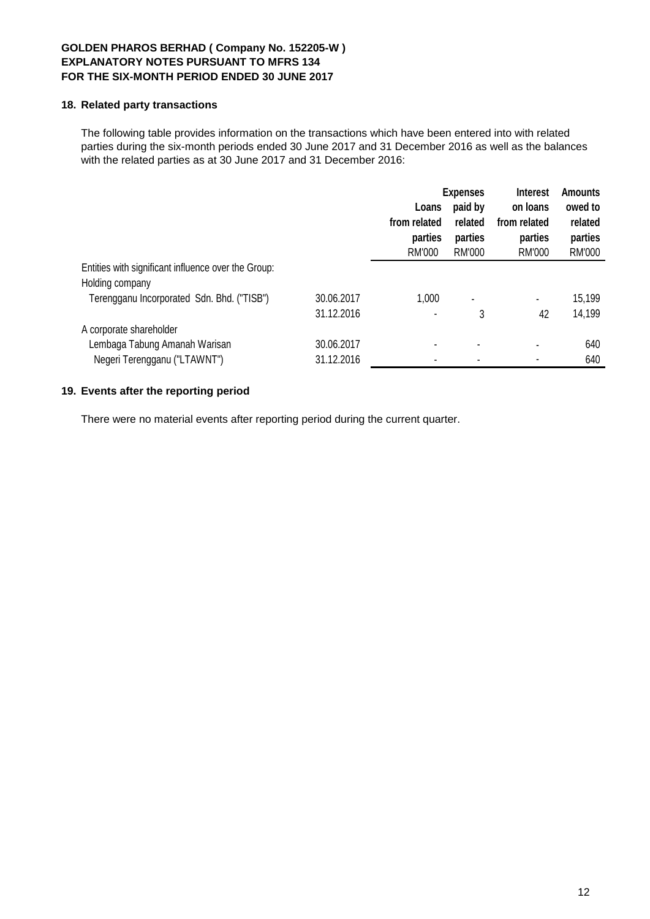### **18. Related party transactions**

The following table provides information on the transactions which have been entered into with related parties during the six-month periods ended 30 June 2017 and 31 December 2016 as well as the balances with the related parties as at 30 June 2017 and 31 December 2016:

|                                                     |            | <b>Expenses</b>                   |                              | <b>Interest</b>                   |                              |  |
|-----------------------------------------------------|------------|-----------------------------------|------------------------------|-----------------------------------|------------------------------|--|
|                                                     |            | paid by<br>Loans                  |                              | on loans                          | owed to                      |  |
|                                                     |            | from related<br>parties<br>RM'000 | related<br>parties<br>RM'000 | from related<br>parties<br>RM'000 | related<br>parties<br>RM'000 |  |
| Entities with significant influence over the Group: |            |                                   |                              |                                   |                              |  |
| Holding company                                     |            |                                   |                              |                                   |                              |  |
| Terengganu Incorporated Sdn. Bhd. ("TISB")          | 30.06.2017 | 1,000                             | $\blacksquare$               | $\blacksquare$                    | 15,199                       |  |
|                                                     | 31.12.2016 | $\blacksquare$                    | 3                            | 42                                | 14,199                       |  |
| A corporate shareholder                             |            |                                   |                              |                                   |                              |  |
| Lembaga Tabung Amanah Warisan                       | 30.06.2017 |                                   |                              |                                   | 640                          |  |
| Negeri Terengganu ("LTAWNT")                        | 31.12.2016 | $\blacksquare$                    |                              |                                   | 640                          |  |

# **19. Events after the reporting period**

There were no material events after reporting period during the current quarter.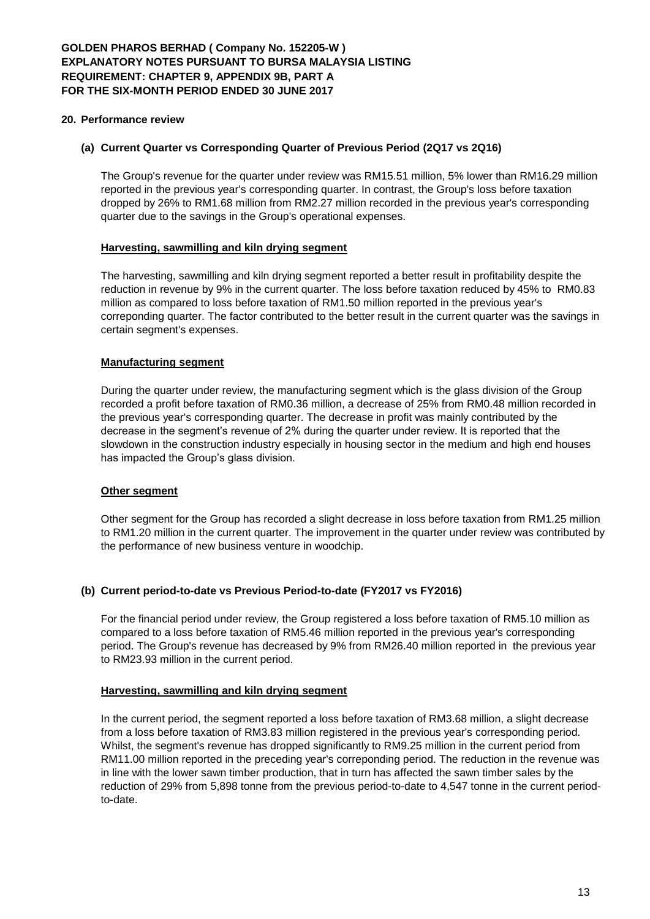#### **20. Performance review**

## **(a) Current Quarter vs Corresponding Quarter of Previous Period (2Q17 vs 2Q16)**

The Group's revenue for the quarter under review was RM15.51 million, 5% lower than RM16.29 million reported in the previous year's corresponding quarter. In contrast, the Group's loss before taxation dropped by 26% to RM1.68 million from RM2.27 million recorded in the previous year's corresponding quarter due to the savings in the Group's operational expenses.

#### **Harvesting, sawmilling and kiln drying segment**

The harvesting, sawmilling and kiln drying segment reported a better result in profitability despite the reduction in revenue by 9% in the current quarter. The loss before taxation reduced by 45% to RM0.83 million as compared to loss before taxation of RM1.50 million reported in the previous year's correponding quarter. The factor contributed to the better result in the current quarter was the savings in certain segment's expenses.

## **Manufacturing segment**

During the quarter under review, the manufacturing segment which is the glass division of the Group recorded a profit before taxation of RM0.36 million, a decrease of 25% from RM0.48 million recorded in the previous year's corresponding quarter. The decrease in profit was mainly contributed by the decrease in the segment's revenue of 2% during the quarter under review. It is reported that the slowdown in the construction industry especially in housing sector in the medium and high end houses has impacted the Group's glass division.

#### **Other segment**

Other segment for the Group has recorded a slight decrease in loss before taxation from RM1.25 million to RM1.20 million in the current quarter. The improvement in the quarter under review was contributed by the performance of new business venture in woodchip.

## **(b) Current period-to-date vs Previous Period-to-date (FY2017 vs FY2016)**

For the financial period under review, the Group registered a loss before taxation of RM5.10 million as compared to a loss before taxation of RM5.46 million reported in the previous year's corresponding period. The Group's revenue has decreased by 9% from RM26.40 million reported in the previous year to RM23.93 million in the current period.

#### **Harvesting, sawmilling and kiln drying segment**

In the current period, the segment reported a loss before taxation of RM3.68 million, a slight decrease from a loss before taxation of RM3.83 million registered in the previous year's corresponding period. Whilst, the segment's revenue has dropped significantly to RM9.25 million in the current period from RM11.00 million reported in the preceding year's correponding period. The reduction in the revenue was in line with the lower sawn timber production, that in turn has affected the sawn timber sales by the reduction of 29% from 5,898 tonne from the previous period-to-date to 4,547 tonne in the current periodto-date.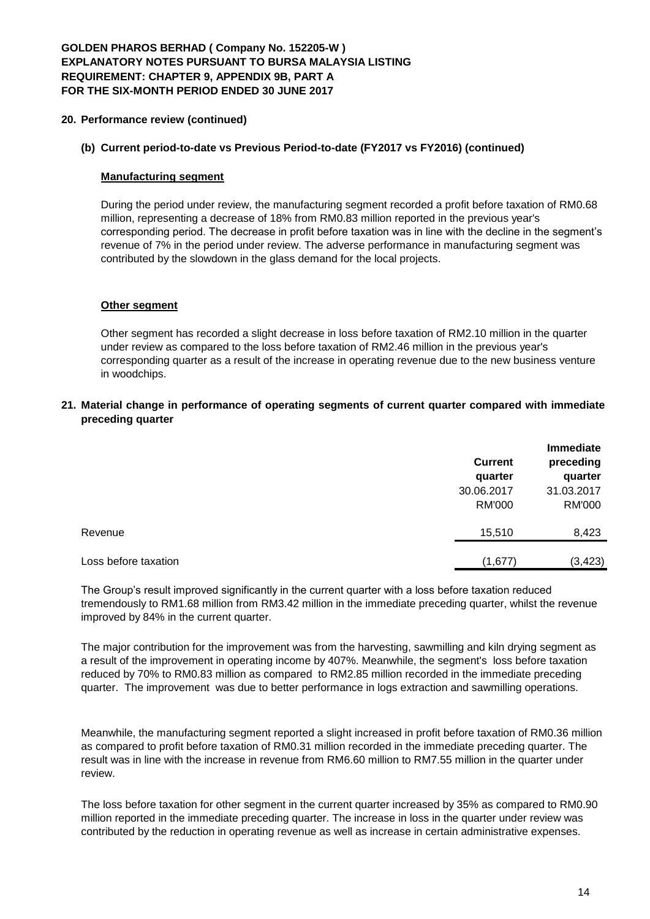# **GOLDEN PHAROS BERHAD ( Company No. 152205-W ) EXPLANATORY NOTES PURSUANT TO BURSA MALAYSIA LISTING REQUIREMENT: CHAPTER 9, APPENDIX 9B, PART A FOR THE SIX-MONTH PERIOD ENDED 30 JUNE 2017**

## **20. Performance review (continued)**

## **(b) Current period-to-date vs Previous Period-to-date (FY2017 vs FY2016) (continued)**

## **Manufacturing segment**

During the period under review, the manufacturing segment recorded a profit before taxation of RM0.68 million, representing a decrease of 18% from RM0.83 million reported in the previous year's corresponding period. The decrease in profit before taxation was in line with the decline in the segment's revenue of 7% in the period under review. The adverse performance in manufacturing segment was contributed by the slowdown in the glass demand for the local projects.

## **Other segment**

Other segment has recorded a slight decrease in loss before taxation of RM2.10 million in the quarter under review as compared to the loss before taxation of RM2.46 million in the previous year's corresponding quarter as a result of the increase in operating revenue due to the new business venture in woodchips.

## **21. Material change in performance of operating segments of current quarter compared with immediate preceding quarter**

|                      | <b>Current</b><br>quarter<br>30.06.2017<br><b>RM'000</b> | Immediate<br>preceding<br>quarter<br>31.03.2017<br><b>RM'000</b> |
|----------------------|----------------------------------------------------------|------------------------------------------------------------------|
| Revenue              | 15,510                                                   | 8,423                                                            |
| Loss before taxation | (1,677)                                                  | (3, 423)                                                         |

The Group's result improved significantly in the current quarter with a loss before taxation reduced tremendously to RM1.68 million from RM3.42 million in the immediate preceding quarter, whilst the revenue improved by 84% in the current quarter.

The major contribution for the improvement was from the harvesting, sawmilling and kiln drying segment as a result of the improvement in operating income by 407%. Meanwhile, the segment's loss before taxation reduced by 70% to RM0.83 million as compared to RM2.85 million recorded in the immediate preceding quarter. The improvement was due to better performance in logs extraction and sawmilling operations.

Meanwhile, the manufacturing segment reported a slight increased in profit before taxation of RM0.36 million as compared to profit before taxation of RM0.31 million recorded in the immediate preceding quarter. The result was in line with the increase in revenue from RM6.60 million to RM7.55 million in the quarter under review.

The loss before taxation for other segment in the current quarter increased by 35% as compared to RM0.90 million reported in the immediate preceding quarter. The increase in loss in the quarter under review was contributed by the reduction in operating revenue as well as increase in certain administrative expenses.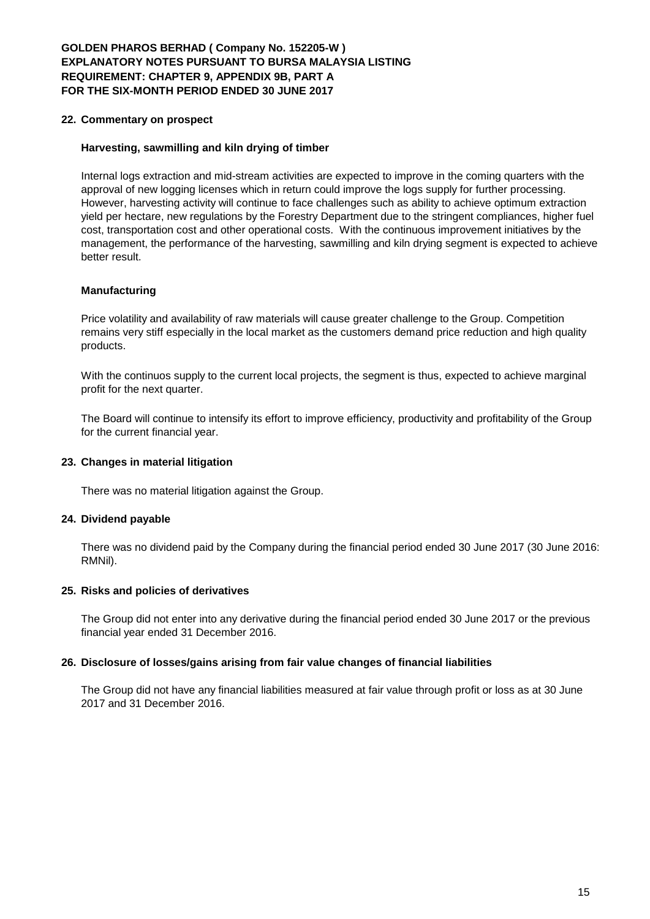# **GOLDEN PHAROS BERHAD ( Company No. 152205-W ) EXPLANATORY NOTES PURSUANT TO BURSA MALAYSIA LISTING REQUIREMENT: CHAPTER 9, APPENDIX 9B, PART A FOR THE SIX-MONTH PERIOD ENDED 30 JUNE 2017**

## **22. Commentary on prospect**

## **Harvesting, sawmilling and kiln drying of timber**

Internal logs extraction and mid-stream activities are expected to improve in the coming quarters with the approval of new logging licenses which in return could improve the logs supply for further processing. However, harvesting activity will continue to face challenges such as ability to achieve optimum extraction yield per hectare, new regulations by the Forestry Department due to the stringent compliances, higher fuel cost, transportation cost and other operational costs. With the continuous improvement initiatives by the management, the performance of the harvesting, sawmilling and kiln drying segment is expected to achieve better result.

## **Manufacturing**

Price volatility and availability of raw materials will cause greater challenge to the Group. Competition remains very stiff especially in the local market as the customers demand price reduction and high quality products.

With the continuos supply to the current local projects, the segment is thus, expected to achieve marginal profit for the next quarter.

The Board will continue to intensify its effort to improve efficiency, productivity and profitability of the Group for the current financial year.

## **23. Changes in material litigation**

There was no material litigation against the Group.

## **24. Dividend payable**

There was no dividend paid by the Company during the financial period ended 30 June 2017 (30 June 2016: RMNil).

## **25. Risks and policies of derivatives**

The Group did not enter into any derivative during the financial period ended 30 June 2017 or the previous financial year ended 31 December 2016.

## **26. Disclosure of losses/gains arising from fair value changes of financial liabilities**

The Group did not have any financial liabilities measured at fair value through profit or loss as at 30 June 2017 and 31 December 2016.